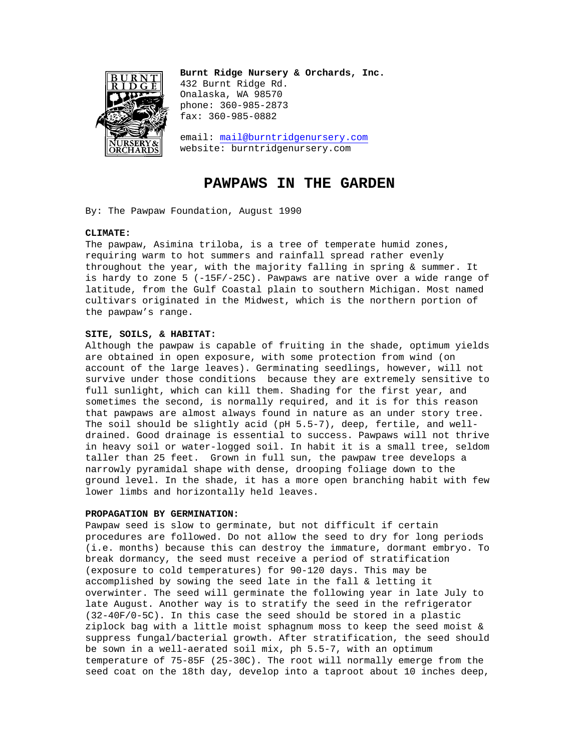

**Burnt Ridge Nursery & Orchards, Inc.**  432 Burnt Ridge Rd. Onalaska, WA 98570 phone: 360-985-2873 fax: 360-985-0882

email: mail@burntridgenursery.com website: burntridgenursery.com

# **PAWPAWS IN THE GARDEN**

By: The Pawpaw Foundation, August 1990

## **CLIMATE:**

The pawpaw, Asimina triloba, is a tree of temperate humid zones, requiring warm to hot summers and rainfall spread rather evenly throughout the year, with the majority falling in spring & summer. It is hardy to zone 5 (-15F/-25C). Pawpaws are native over a wide range of latitude, from the Gulf Coastal plain to southern Michigan. Most named cultivars originated in the Midwest, which is the northern portion of the pawpaw's range.

## **SITE, SOILS, & HABITAT:**

Although the pawpaw is capable of fruiting in the shade, optimum yields are obtained in open exposure, with some protection from wind (on account of the large leaves). Germinating seedlings, however, will not survive under those conditions because they are extremely sensitive to full sunlight, which can kill them. Shading for the first year, and sometimes the second, is normally required, and it is for this reason that pawpaws are almost always found in nature as an under story tree. The soil should be slightly acid (pH 5.5-7), deep, fertile, and welldrained. Good drainage is essential to success. Pawpaws will not thrive in heavy soil or water-logged soil. In habit it is a small tree, seldom taller than 25 feet. Grown in full sun, the pawpaw tree develops a narrowly pyramidal shape with dense, drooping foliage down to the ground level. In the shade, it has a more open branching habit with few lower limbs and horizontally held leaves.

## **PROPAGATION BY GERMINATION:**

Pawpaw seed is slow to germinate, but not difficult if certain procedures are followed. Do not allow the seed to dry for long periods (i.e. months) because this can destroy the immature, dormant embryo. To break dormancy, the seed must receive a period of stratification (exposure to cold temperatures) for 90-120 days. This may be accomplished by sowing the seed late in the fall & letting it overwinter. The seed will germinate the following year in late July to late August. Another way is to stratify the seed in the refrigerator (32-40F/0-5C). In this case the seed should be stored in a plastic ziplock bag with a little moist sphagnum moss to keep the seed moist & suppress fungal/bacterial growth. After stratification, the seed should be sown in a well-aerated soil mix, ph 5.5-7, with an optimum temperature of 75-85F (25-30C). The root will normally emerge from the seed coat on the 18th day, develop into a taproot about 10 inches deep,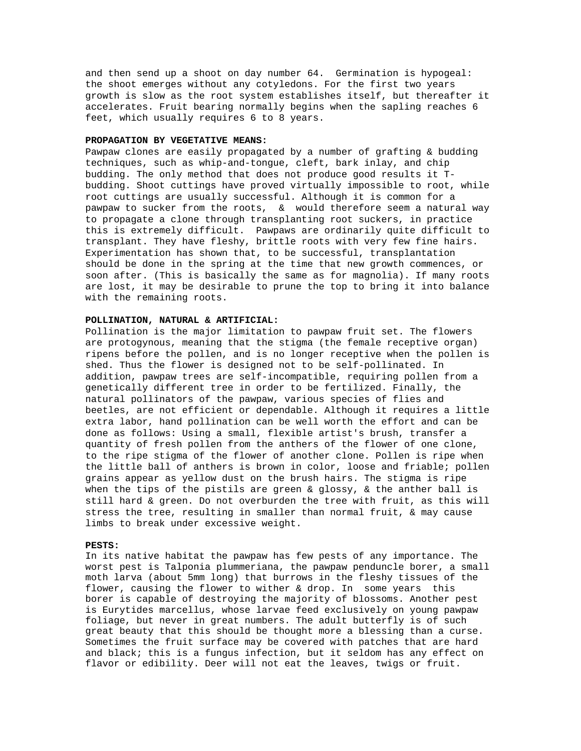and then send up a shoot on day number 64. Germination is hypogeal: the shoot emerges without any cotyledons. For the first two years growth is slow as the root system establishes itself, but thereafter it accelerates. Fruit bearing normally begins when the sapling reaches 6 feet, which usually requires 6 to 8 years.

#### **PROPAGATION BY VEGETATIVE MEANS:**

Pawpaw clones are easily propagated by a number of grafting & budding techniques, such as whip-and-tongue, cleft, bark inlay, and chip budding. The only method that does not produce good results it Tbudding. Shoot cuttings have proved virtually impossible to root, while root cuttings are usually successful. Although it is common for a pawpaw to sucker from the roots, & would therefore seem a natural way to propagate a clone through transplanting root suckers, in practice this is extremely difficult. Pawpaws are ordinarily quite difficult to transplant. They have fleshy, brittle roots with very few fine hairs. Experimentation has shown that, to be successful, transplantation should be done in the spring at the time that new growth commences, or soon after. (This is basically the same as for magnolia). If many roots are lost, it may be desirable to prune the top to bring it into balance with the remaining roots.

#### **POLLINATION, NATURAL & ARTIFICIAL:**

Pollination is the major limitation to pawpaw fruit set. The flowers are protogynous, meaning that the stigma (the female receptive organ) ripens before the pollen, and is no longer receptive when the pollen is shed. Thus the flower is designed not to be self-pollinated. In addition, pawpaw trees are self-incompatible, requiring pollen from a genetically different tree in order to be fertilized. Finally, the natural pollinators of the pawpaw, various species of flies and beetles, are not efficient or dependable. Although it requires a little extra labor, hand pollination can be well worth the effort and can be done as follows: Using a small, flexible artist's brush, transfer a quantity of fresh pollen from the anthers of the flower of one clone, to the ripe stigma of the flower of another clone. Pollen is ripe when the little ball of anthers is brown in color, loose and friable; pollen grains appear as yellow dust on the brush hairs. The stigma is ripe when the tips of the pistils are green  $\&$  glossy,  $\&$  the anther ball is still hard & green. Do not overburden the tree with fruit, as this will stress the tree, resulting in smaller than normal fruit, & may cause limbs to break under excessive weight.

#### **PESTS:**

In its native habitat the pawpaw has few pests of any importance. The worst pest is Talponia plummeriana, the pawpaw penduncle borer, a small moth larva (about 5mm long) that burrows in the fleshy tissues of the flower, causing the flower to wither & drop. In some years this borer is capable of destroying the majority of blossoms. Another pest is Eurytides marcellus, whose larvae feed exclusively on young pawpaw foliage, but never in great numbers. The adult butterfly is of such great beauty that this should be thought more a blessing than a curse. Sometimes the fruit surface may be covered with patches that are hard and black; this is a fungus infection, but it seldom has any effect on flavor or edibility. Deer will not eat the leaves, twigs or fruit.